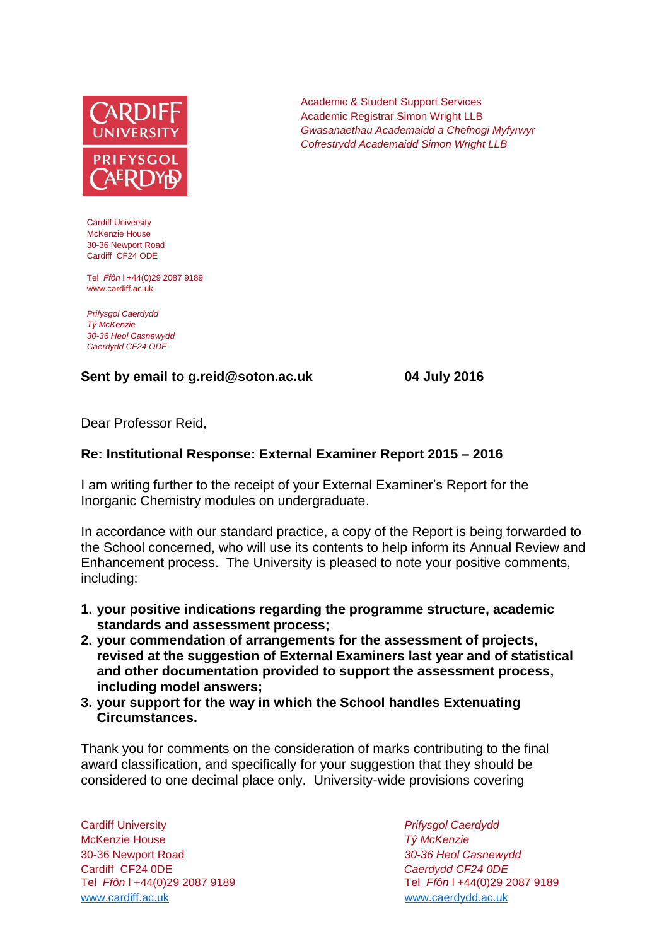

Cardiff University McKenzie House 30-36 Newport Road Cardiff CF24 ODE

Tel *Ffôn* l +44(0)29 2087 9189 www.cardiff.ac.uk

*Prifysgol Caerdydd Tŷ McKenzie 30-36 Heol Casnewydd Caerdydd CF24 ODE*

## **Sent by email to g.reid@soton.ac.uk 04 July 2016**

Academic & Student Support Services Academic Registrar Simon Wright LLB *Gwasanaethau Academaidd a Chefnogi Myfyrwyr Cofrestrydd Academaidd Simon Wright LLB*

Dear Professor Reid,

## **Re: Institutional Response: External Examiner Report 2015 – 2016**

I am writing further to the receipt of your External Examiner's Report for the Inorganic Chemistry modules on undergraduate.

In accordance with our standard practice, a copy of the Report is being forwarded to the School concerned, who will use its contents to help inform its Annual Review and Enhancement process. The University is pleased to note your positive comments, including:

- **1. your positive indications regarding the programme structure, academic standards and assessment process;**
- **2. your commendation of arrangements for the assessment of projects, revised at the suggestion of External Examiners last year and of statistical and other documentation provided to support the assessment process, including model answers;**
- **3. your support for the way in which the School handles Extenuating Circumstances.**

Thank you for comments on the consideration of marks contributing to the final award classification, and specifically for your suggestion that they should be considered to one decimal place only. University-wide provisions covering

Cardiff University *Prifysgol Caerdydd* McKenzie House *Tŷ McKenzie* 30-36 Newport Road *30-36 Heol Casnewydd* Cardiff CF24 0DE *Caerdydd CF24 0DE* [www.cardiff.ac.uk](http://www.cardiff.ac.uk/) www.cardiff.ac.uk

Tel *Ffôn* l +44(0)29 2087 9189 Tel *Ffôn* l +44(0)29 2087 9189